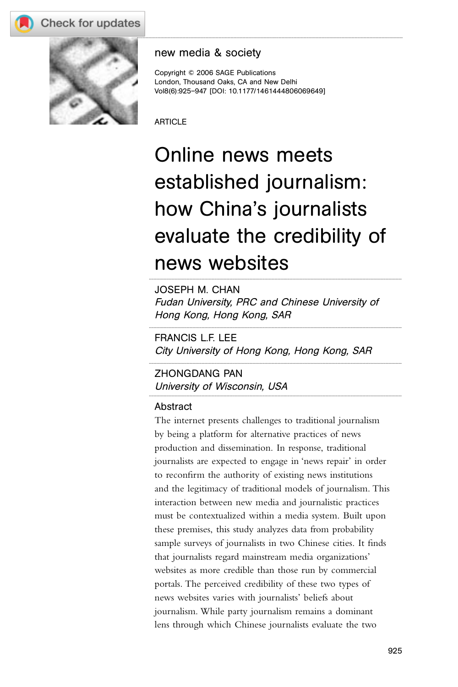



# new media & society

Copyright © 2006 SAGE Publications London, Thousand Oaks, CA and New Delhi Vol8(6):925–947 [DOI: 10.1177/1461444806069649]

**ARTICLE** 

# Online news meets established journalism: how China's journalists evaluate the credibility of news websites

JOSEPH M. CHAN Fudan University, PRC and Chinese University of Hong Kong, Hong Kong, SAR

............................................................................................................................................................................................................................................

............................................................................................................................................................................................................................................

............................................................................................................................................................................................................................................

FRANCIS L.F. LEE City University of Hong Kong, Hong Kong, SAR

ZHONGDANG PAN University of Wisconsin, USA ............................................................................................................................................................................................................................................

### **Abstract**

The internet presents challenges to traditional journalism by being a platform for alternative practices of news production and dissemination. In response, traditional journalists are expected to engage in 'news repair' in order to reconfirm the authority of existing news institutions and the legitimacy of traditional models of journalism. This interaction between new media and journalistic practices must be contextualized within a media system. Built upon these premises, this study analyzes data from probability sample surveys of journalists in two Chinese cities. It finds that journalists regard mainstream media organizations' websites as more credible than those run by commercial portals. The perceived credibility of these two types of news websites varies with journalists' beliefs about journalism. While party journalism remains a dominant lens through which Chinese journalists evaluate the two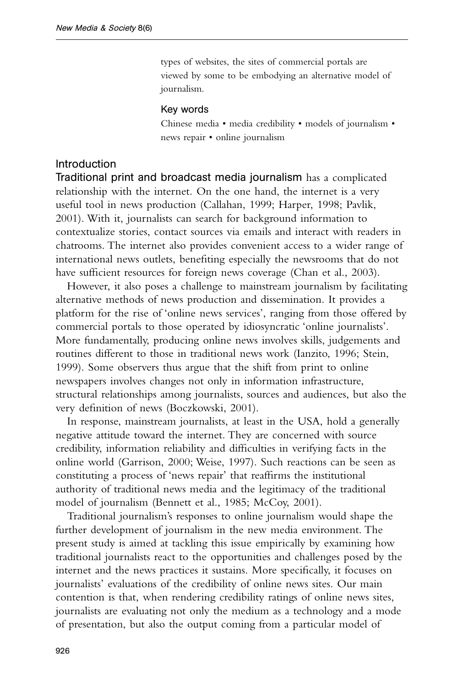types of websites, the sites of commercial portals are viewed by some to be embodying an alternative model of journalism.

#### Key words

Chinese media • media credibility • models of journalism • news repair • online journalism

## Introduction

Traditional print and broadcast media journalism has a complicated relationship with the internet. On the one hand, the internet is a very useful tool in news production (Callahan, 1999; Harper, 1998; Pavlik, 2001). With it, journalists can search for background information to contextualize stories, contact sources via emails and interact with readers in chatrooms. The internet also provides convenient access to a wider range of international news outlets, benefiting especially the newsrooms that do not have sufficient resources for foreign news coverage (Chan et al., 2003).

However, it also poses a challenge to mainstream journalism by facilitating alternative methods of news production and dissemination. It provides a platform for the rise of 'online news services', ranging from those offered by commercial portals to those operated by idiosyncratic 'online journalists'. More fundamentally, producing online news involves skills, judgements and routines different to those in traditional news work (Ianzito, 1996; Stein, 1999). Some observers thus argue that the shift from print to online newspapers involves changes not only in information infrastructure, structural relationships among journalists, sources and audiences, but also the very definition of news (Boczkowski, 2001).

In response, mainstream journalists, at least in the USA, hold a generally negative attitude toward the internet. They are concerned with source credibility, information reliability and difficulties in verifying facts in the online world (Garrison, 2000; Weise, 1997). Such reactions can be seen as constituting a process of 'news repair' that reaffirms the institutional authority of traditional news media and the legitimacy of the traditional model of journalism (Bennett et al., 1985; McCoy, 2001).

Traditional journalism's responses to online journalism would shape the further development of journalism in the new media environment. The present study is aimed at tackling this issue empirically by examining how traditional journalists react to the opportunities and challenges posed by the internet and the news practices it sustains. More specifically, it focuses on journalists' evaluations of the credibility of online news sites. Our main contention is that, when rendering credibility ratings of online news sites, journalists are evaluating not only the medium as a technology and a mode of presentation, but also the output coming from a particular model of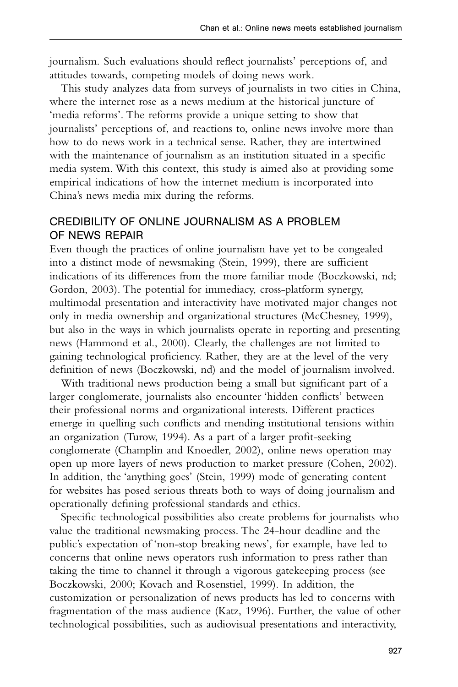journalism. Such evaluations should reflect journalists' perceptions of, and attitudes towards, competing models of doing news work.

This study analyzes data from surveys of journalists in two cities in China, where the internet rose as a news medium at the historical juncture of 'media reforms'. The reforms provide a unique setting to show that journalists' perceptions of, and reactions to, online news involve more than how to do news work in a technical sense. Rather, they are intertwined with the maintenance of journalism as an institution situated in a specific media system. With this context, this study is aimed also at providing some empirical indications of how the internet medium is incorporated into China's news media mix during the reforms.

# CREDIBILITY OF ONLINE JOURNALISM AS A PROBLEM OF NEWS REPAIR

Even though the practices of online journalism have yet to be congealed into a distinct mode of newsmaking (Stein, 1999), there are sufficient indications of its differences from the more familiar mode (Boczkowski, nd; Gordon, 2003). The potential for immediacy, cross-platform synergy, multimodal presentation and interactivity have motivated major changes not only in media ownership and organizational structures (McChesney, 1999), but also in the ways in which journalists operate in reporting and presenting news (Hammond et al., 2000). Clearly, the challenges are not limited to gaining technological proficiency. Rather, they are at the level of the very definition of news (Boczkowski, nd) and the model of journalism involved.

With traditional news production being a small but significant part of a larger conglomerate, journalists also encounter 'hidden conflicts' between their professional norms and organizational interests. Different practices emerge in quelling such conflicts and mending institutional tensions within an organization (Turow, 1994). As a part of a larger profit-seeking conglomerate (Champlin and Knoedler, 2002), online news operation may open up more layers of news production to market pressure (Cohen, 2002). In addition, the 'anything goes' (Stein, 1999) mode of generating content for websites has posed serious threats both to ways of doing journalism and operationally defining professional standards and ethics.

Specific technological possibilities also create problems for journalists who value the traditional newsmaking process. The 24-hour deadline and the public's expectation of 'non-stop breaking news', for example, have led to concerns that online news operators rush information to press rather than taking the time to channel it through a vigorous gatekeeping process (see Boczkowski, 2000; Kovach and Rosenstiel, 1999). In addition, the customization or personalization of news products has led to concerns with fragmentation of the mass audience (Katz, 1996). Further, the value of other technological possibilities, such as audiovisual presentations and interactivity,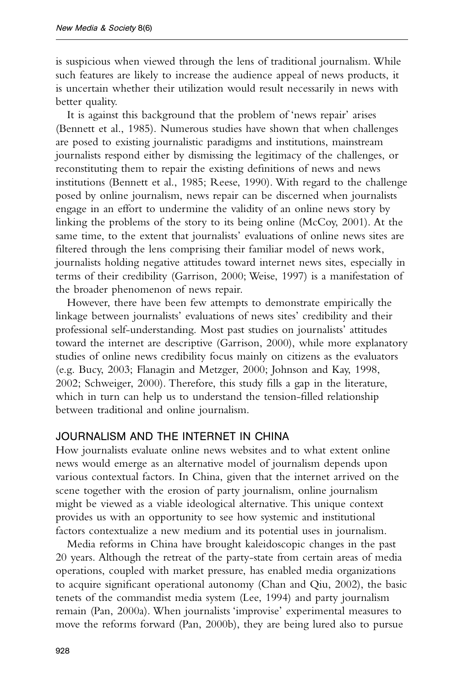is suspicious when viewed through the lens of traditional journalism. While such features are likely to increase the audience appeal of news products, it is uncertain whether their utilization would result necessarily in news with better quality.

It is against this background that the problem of 'news repair' arises (Bennett et al., 1985). Numerous studies have shown that when challenges are posed to existing journalistic paradigms and institutions, mainstream journalists respond either by dismissing the legitimacy of the challenges, or reconstituting them to repair the existing definitions of news and news institutions (Bennett et al., 1985; Reese, 1990). With regard to the challenge posed by online journalism, news repair can be discerned when journalists engage in an effort to undermine the validity of an online news story by linking the problems of the story to its being online (McCoy, 2001). At the same time, to the extent that journalists' evaluations of online news sites are filtered through the lens comprising their familiar model of news work, journalists holding negative attitudes toward internet news sites, especially in terms of their credibility (Garrison, 2000; Weise, 1997) is a manifestation of the broader phenomenon of news repair.

However, there have been few attempts to demonstrate empirically the linkage between journalists' evaluations of news sites' credibility and their professional self-understanding. Most past studies on journalists' attitudes toward the internet are descriptive (Garrison, 2000), while more explanatory studies of online news credibility focus mainly on citizens as the evaluators (e.g. Bucy, 2003; Flanagin and Metzger, 2000; Johnson and Kay, 1998, 2002; Schweiger, 2000). Therefore, this study fills a gap in the literature, which in turn can help us to understand the tension-filled relationship between traditional and online journalism.

## JOURNALISM AND THE INTERNET IN CHINA

How journalists evaluate online news websites and to what extent online news would emerge as an alternative model of journalism depends upon various contextual factors. In China, given that the internet arrived on the scene together with the erosion of party journalism, online journalism might be viewed as a viable ideological alternative. This unique context provides us with an opportunity to see how systemic and institutional factors contextualize a new medium and its potential uses in journalism.

Media reforms in China have brought kaleidoscopic changes in the past 20 years. Although the retreat of the party-state from certain areas of media operations, coupled with market pressure, has enabled media organizations to acquire significant operational autonomy (Chan and Qiu, 2002), the basic tenets of the commandist media system (Lee, 1994) and party journalism remain (Pan, 2000a). When journalists 'improvise' experimental measures to move the reforms forward (Pan, 2000b), they are being lured also to pursue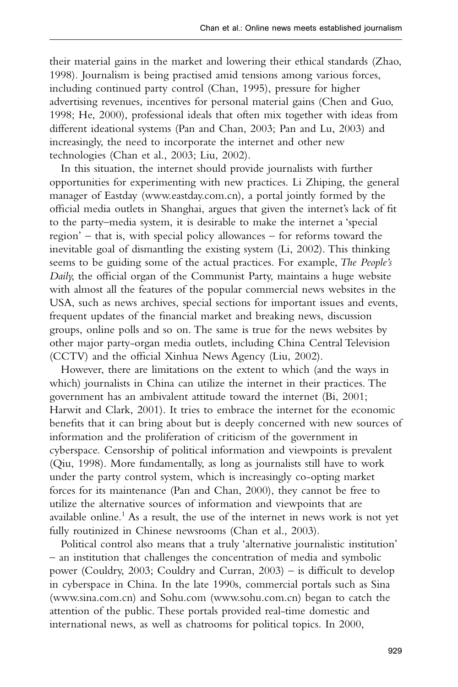their material gains in the market and lowering their ethical standards (Zhao, 1998). Journalism is being practised amid tensions among various forces, including continued party control (Chan, 1995), pressure for higher advertising revenues, incentives for personal material gains (Chen and Guo, 1998; He, 2000), professional ideals that often mix together with ideas from different ideational systems (Pan and Chan, 2003; Pan and Lu, 2003) and increasingly, the need to incorporate the internet and other new technologies (Chan et al., 2003; Liu, 2002).

In this situation, the internet should provide journalists with further opportunities for experimenting with new practices. Li Zhiping, the general manager of Eastday (www.eastday.com.cn), a portal jointly formed by the official media outlets in Shanghai, argues that given the internet's lack of fit to the party–media system, it is desirable to make the internet a 'special region' – that is, with special policy allowances – for reforms toward the inevitable goal of dismantling the existing system (Li, 2002). This thinking seems to be guiding some of the actual practices. For example, *The People's Daily*, the official organ of the Communist Party, maintains a huge website with almost all the features of the popular commercial news websites in the USA, such as news archives, special sections for important issues and events, frequent updates of the financial market and breaking news, discussion groups, online polls and so on. The same is true for the news websites by other major party-organ media outlets, including China Central Television (CCTV) and the official Xinhua News Agency (Liu, 2002).

However, there are limitations on the extent to which (and the ways in which) journalists in China can utilize the internet in their practices. The government has an ambivalent attitude toward the internet (Bi, 2001; Harwit and Clark, 2001). It tries to embrace the internet for the economic benefits that it can bring about but is deeply concerned with new sources of information and the proliferation of criticism of the government in cyberspace. Censorship of political information and viewpoints is prevalent (Qiu, 1998). More fundamentally, as long as journalists still have to work under the party control system, which is increasingly co-opting market forces for its maintenance (Pan and Chan, 2000), they cannot be free to utilize the alternative sources of information and viewpoints that are available online.<sup>1</sup> As a result, the use of the internet in news work is not yet fully routinized in Chinese newsrooms (Chan et al., 2003).

Political control also means that a truly 'alternative journalistic institution' – an institution that challenges the concentration of media and symbolic power (Couldry, 2003; Couldry and Curran, 2003) – is difficult to develop in cyberspace in China. In the late 1990s, commercial portals such as Sina (www.sina.com.cn) and Sohu.com (www.sohu.com.cn) began to catch the attention of the public. These portals provided real-time domestic and international news, as well as chatrooms for political topics. In 2000,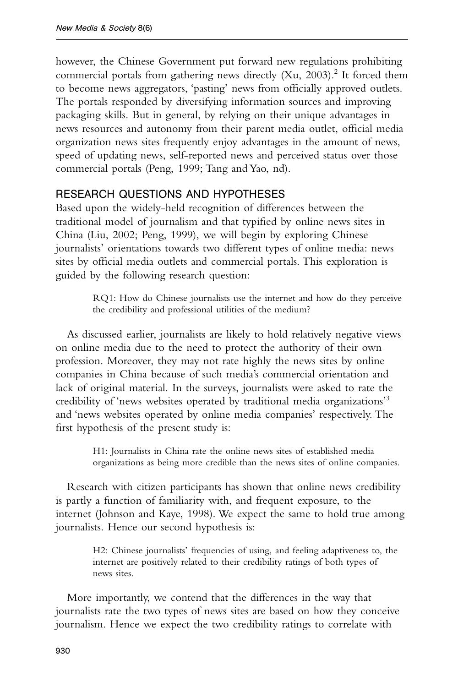however, the Chinese Government put forward new regulations prohibiting commercial portals from gathering news directly (Xu, 2003).<sup>2</sup> It forced them to become news aggregators, 'pasting' news from officially approved outlets. The portals responded by diversifying information sources and improving packaging skills. But in general, by relying on their unique advantages in news resources and autonomy from their parent media outlet, official media organization news sites frequently enjoy advantages in the amount of news, speed of updating news, self-reported news and perceived status over those commercial portals (Peng, 1999; Tang and Yao, nd).

## RESEARCH QUESTIONS AND HYPOTHESES

Based upon the widely-held recognition of differences between the traditional model of journalism and that typified by online news sites in China (Liu, 2002; Peng, 1999), we will begin by exploring Chinese journalists' orientations towards two different types of online media: news sites by official media outlets and commercial portals. This exploration is guided by the following research question:

> RQ1: How do Chinese journalists use the internet and how do they perceive the credibility and professional utilities of the medium?

As discussed earlier, journalists are likely to hold relatively negative views on online media due to the need to protect the authority of their own profession. Moreover, they may not rate highly the news sites by online companies in China because of such media's commercial orientation and lack of original material. In the surveys, journalists were asked to rate the credibility of 'news websites operated by traditional media organizations' 3 and 'news websites operated by online media companies' respectively. The first hypothesis of the present study is:

> H1: Journalists in China rate the online news sites of established media organizations as being more credible than the news sites of online companies.

Research with citizen participants has shown that online news credibility is partly a function of familiarity with, and frequent exposure, to the internet (Johnson and Kaye, 1998). We expect the same to hold true among journalists. Hence our second hypothesis is:

> H2: Chinese journalists' frequencies of using, and feeling adaptiveness to, the internet are positively related to their credibility ratings of both types of news sites.

More importantly, we contend that the differences in the way that journalists rate the two types of news sites are based on how they conceive journalism. Hence we expect the two credibility ratings to correlate with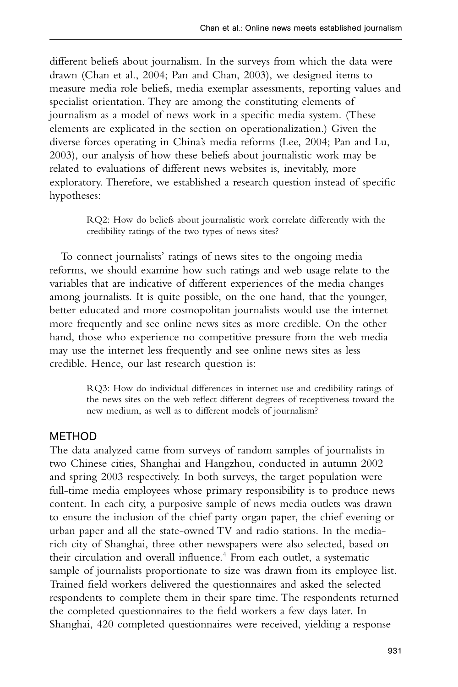different beliefs about journalism. In the surveys from which the data were drawn (Chan et al., 2004; Pan and Chan, 2003), we designed items to measure media role beliefs, media exemplar assessments, reporting values and specialist orientation. They are among the constituting elements of journalism as a model of news work in a specific media system. (These elements are explicated in the section on operationalization.) Given the diverse forces operating in China's media reforms (Lee, 2004; Pan and Lu, 2003), our analysis of how these beliefs about journalistic work may be related to evaluations of different news websites is, inevitably, more exploratory. Therefore, we established a research question instead of specific hypotheses:

> RQ2: How do beliefs about journalistic work correlate differently with the credibility ratings of the two types of news sites?

To connect journalists' ratings of news sites to the ongoing media reforms, we should examine how such ratings and web usage relate to the variables that are indicative of different experiences of the media changes among journalists. It is quite possible, on the one hand, that the younger, better educated and more cosmopolitan journalists would use the internet more frequently and see online news sites as more credible. On the other hand, those who experience no competitive pressure from the web media may use the internet less frequently and see online news sites as less credible. Hence, our last research question is:

> RQ3: How do individual differences in internet use and credibility ratings of the news sites on the web reflect different degrees of receptiveness toward the new medium, as well as to different models of journalism?

## METHOD

The data analyzed came from surveys of random samples of journalists in two Chinese cities, Shanghai and Hangzhou, conducted in autumn 2002 and spring 2003 respectively. In both surveys, the target population were full-time media employees whose primary responsibility is to produce news content. In each city, a purposive sample of news media outlets was drawn to ensure the inclusion of the chief party organ paper, the chief evening or urban paper and all the state-owned TV and radio stations. In the mediarich city of Shanghai, three other newspapers were also selected, based on their circulation and overall influence.<sup>4</sup> From each outlet, a systematic sample of journalists proportionate to size was drawn from its employee list. Trained field workers delivered the questionnaires and asked the selected respondents to complete them in their spare time. The respondents returned the completed questionnaires to the field workers a few days later. In Shanghai, 420 completed questionnaires were received, yielding a response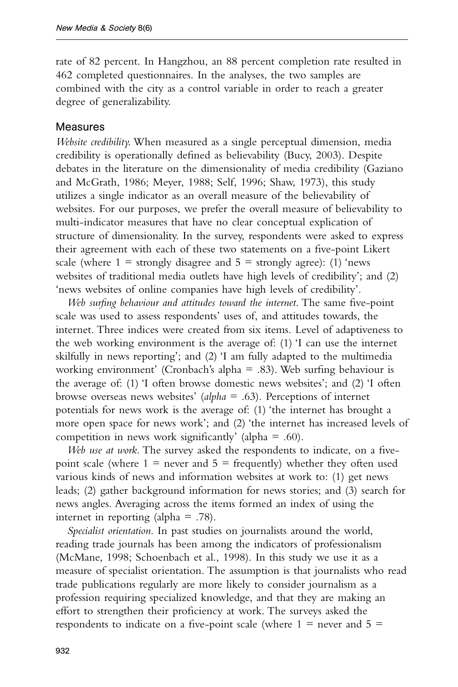rate of 82 percent. In Hangzhou, an 88 percent completion rate resulted in 462 completed questionnaires. In the analyses, the two samples are combined with the city as a control variable in order to reach a greater degree of generalizability.

#### Measures

*Website credibility*. When measured as a single perceptual dimension, media credibility is operationally defined as believability (Bucy, 2003). Despite debates in the literature on the dimensionality of media credibility (Gaziano and McGrath, 1986; Meyer, 1988; Self, 1996; Shaw, 1973), this study utilizes a single indicator as an overall measure of the believability of websites. For our purposes, we prefer the overall measure of believability to multi-indicator measures that have no clear conceptual explication of structure of dimensionality. In the survey, respondents were asked to express their agreement with each of these two statements on a five-point Likert scale (where  $1 =$  strongly disagree and  $5 =$  strongly agree): (1) 'news websites of traditional media outlets have high levels of credibility'; and (2) 'news websites of online companies have high levels of credibility'.

*Web surfing behaviour and attitudes toward the internet*. The same five-point scale was used to assess respondents' uses of, and attitudes towards, the internet. Three indices were created from six items. Level of adaptiveness to the web working environment is the average of: (1) 'I can use the internet skilfully in news reporting'; and (2) 'I am fully adapted to the multimedia working environment' (Cronbach's alpha = .83). Web surfing behaviour is the average of: (1) 'I often browse domestic news websites'; and (2) 'I often browse overseas news websites' (*alpha* = .63). Perceptions of internet potentials for news work is the average of: (1) 'the internet has brought a more open space for news work'; and (2) 'the internet has increased levels of competition in news work significantly' (alpha = .60).

*Web use at work*. The survey asked the respondents to indicate, on a fivepoint scale (where  $1 =$  never and  $5 =$  frequently) whether they often used various kinds of news and information websites at work to: (1) get news leads; (2) gather background information for news stories; and (3) search for news angles. Averaging across the items formed an index of using the internet in reporting (alpha = .78).

*Specialist orientation*. In past studies on journalists around the world, reading trade journals has been among the indicators of professionalism (McMane, 1998; Schoenbach et al., 1998). In this study we use it as a measure of specialist orientation. The assumption is that journalists who read trade publications regularly are more likely to consider journalism as a profession requiring specialized knowledge, and that they are making an effort to strengthen their proficiency at work. The surveys asked the respondents to indicate on a five-point scale (where  $1 =$  never and  $5 =$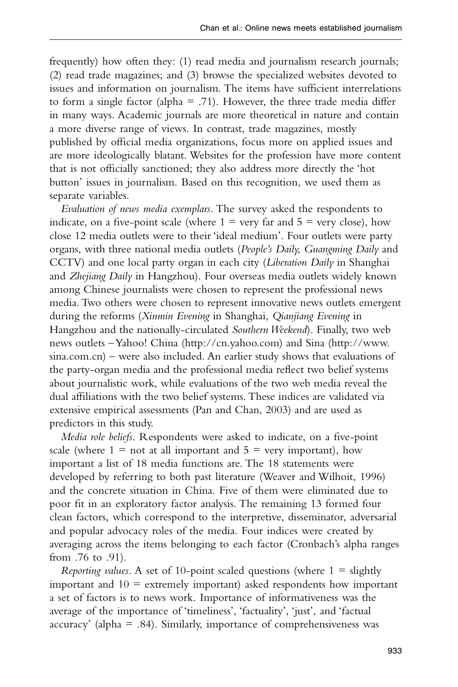frequently) how often they: (1) read media and journalism research journals; (2) read trade magazines; and (3) browse the specialized websites devoted to issues and information on journalism. The items have sufficient interrelations to form a single factor (alpha  $=$  .71). However, the three trade media differ in many ways. Academic journals are more theoretical in nature and contain a more diverse range of views. In contrast, trade magazines, mostly published by official media organizations, focus more on applied issues and are more ideologically blatant. Websites for the profession have more content that is not officially sanctioned; they also address more directly the 'hot button' issues in journalism. Based on this recognition, we used them as separate variables.

*Evaluation of news media exemplars*. The survey asked the respondents to indicate, on a five-point scale (where  $1 = \text{very far}$  and  $5 = \text{very close}$ ), how close 12 media outlets were to their 'ideal medium'. Four outlets were party organs, with three national media outlets (*People's Daily*, *Guangming Daily* and CCTV) and one local party organ in each city (*Liberation Daily* in Shanghai and *Zhejiang Daily* in Hangzhou). Four overseas media outlets widely known among Chinese journalists were chosen to represent the professional news media. Two others were chosen to represent innovative news outlets emergent during the reforms (*Xinmin Evening* in Shanghai, *Qianjiang Evening* in Hangzhou and the nationally-circulated *Southern Weekend*). Finally, two web news outlets – Yahoo! China (http://cn.yahoo.com) and Sina (http://www. sina.com.cn) – were also included. An earlier study shows that evaluations of the party-organ media and the professional media reflect two belief systems about journalistic work, while evaluations of the two web media reveal the dual affiliations with the two belief systems. These indices are validated via extensive empirical assessments (Pan and Chan, 2003) and are used as predictors in this study.

*Media role beliefs*. Respondents were asked to indicate, on a five-point scale (where  $1 =$  not at all important and  $5 =$  very important), how important a list of 18 media functions are. The 18 statements were developed by referring to both past literature (Weaver and Wilhoit, 1996) and the concrete situation in China. Five of them were eliminated due to poor fit in an exploratory factor analysis. The remaining 13 formed four clean factors, which correspond to the interpretive, disseminator, adversarial and popular advocacy roles of the media. Four indices were created by averaging across the items belonging to each factor (Cronbach's alpha ranges from .76 to .91).

*Reporting values*. A set of 10-point scaled questions (where 1 = slightly important and  $10 =$  extremely important) asked respondents how important a set of factors is to news work. Importance of informativeness was the average of the importance of 'timeliness', 'factuality', 'just', and 'factual accuracy' (alpha = .84). Similarly, importance of comprehensiveness was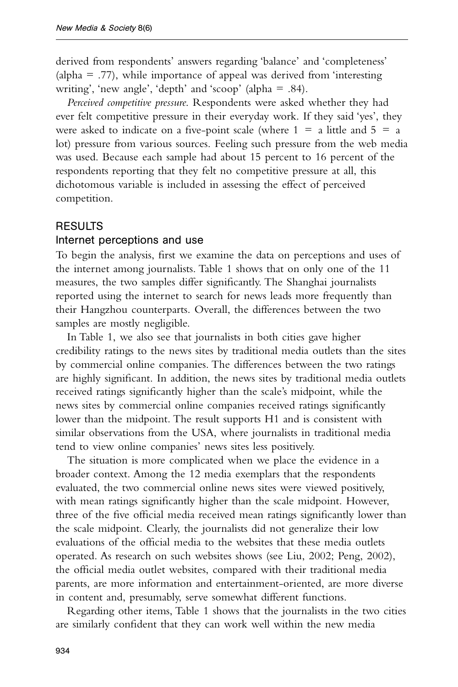derived from respondents' answers regarding 'balance' and 'completeness' (alpha  $=$  .77), while importance of appeal was derived from 'interesting writing', 'new angle', 'depth' and 'scoop' (alpha = .84).

*Perceived competitive pressure*. Respondents were asked whether they had ever felt competitive pressure in their everyday work. If they said 'yes', they were asked to indicate on a five-point scale (where  $1 = a$  little and  $5 = a$ lot) pressure from various sources. Feeling such pressure from the web media was used. Because each sample had about 15 percent to 16 percent of the respondents reporting that they felt no competitive pressure at all, this dichotomous variable is included in assessing the effect of perceived competition.

### RESULTS

#### Internet perceptions and use

To begin the analysis, first we examine the data on perceptions and uses of the internet among journalists. Table 1 shows that on only one of the 11 measures, the two samples differ significantly. The Shanghai journalists reported using the internet to search for news leads more frequently than their Hangzhou counterparts. Overall, the differences between the two samples are mostly negligible.

In Table 1, we also see that journalists in both cities gave higher credibility ratings to the news sites by traditional media outlets than the sites by commercial online companies. The differences between the two ratings are highly significant. In addition, the news sites by traditional media outlets received ratings significantly higher than the scale's midpoint, while the news sites by commercial online companies received ratings significantly lower than the midpoint. The result supports H1 and is consistent with similar observations from the USA, where journalists in traditional media tend to view online companies' news sites less positively.

The situation is more complicated when we place the evidence in a broader context. Among the 12 media exemplars that the respondents evaluated, the two commercial online news sites were viewed positively, with mean ratings significantly higher than the scale midpoint. However, three of the five official media received mean ratings significantly lower than the scale midpoint. Clearly, the journalists did not generalize their low evaluations of the official media to the websites that these media outlets operated. As research on such websites shows (see Liu, 2002; Peng, 2002), the official media outlet websites, compared with their traditional media parents, are more information and entertainment-oriented, are more diverse in content and, presumably, serve somewhat different functions.

Regarding other items, Table 1 shows that the journalists in the two cities are similarly confident that they can work well within the new media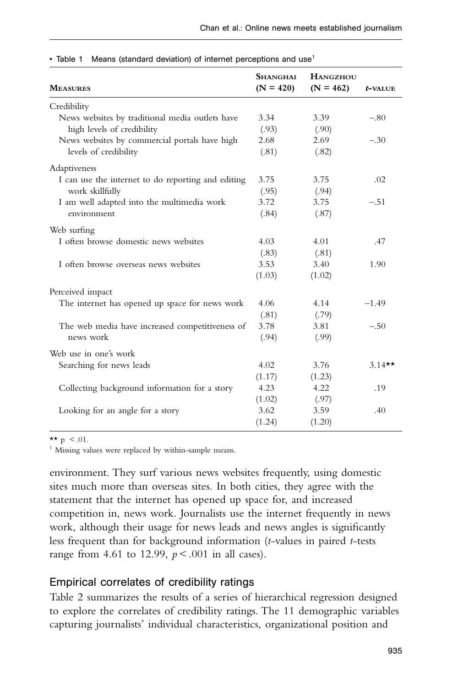| <b>MEASURES</b>                                    | <b>SHANGHAI</b><br>$(N = 420)$ | <b>HANGZHOU</b><br>$(N = 462)$ | t-VALUE   |
|----------------------------------------------------|--------------------------------|--------------------------------|-----------|
| Credibility                                        |                                |                                |           |
| News websites by traditional media outlets have    | 3.34                           | 3.39                           | $-.80$    |
| high levels of credibility                         | (.93)                          | (.90)                          |           |
| News websites by commercial portals have high      | 2.68                           | 2.69                           | $-.30$    |
| levels of credibility                              | (.81)                          | (.82)                          |           |
| Adaptiveness                                       |                                |                                |           |
| I can use the internet to do reporting and editing | 3.75                           | 3.75                           | .02       |
| work skillfully                                    | (.95)                          | (.94)                          |           |
| I am well adapted into the multimedia work         | 3.72                           | 3.75                           | $-.51$    |
| environment                                        | (.84)                          | (.87)                          |           |
| Web surfing                                        |                                |                                |           |
| I often browse domestic news websites              | 4.03                           | 4.01                           | .47       |
|                                                    | (.83)                          | (.81)                          |           |
| I often browse overseas news websites              | 3.53                           | 3.40                           | 1.90      |
|                                                    | (1.03)                         | (1.02)                         |           |
| Perceived impact                                   |                                |                                |           |
| The internet has opened up space for news work     | 4.06                           | 4.14                           | $-1.49$   |
|                                                    | (.81)                          | (.79)                          |           |
| The web media have increased competitiveness of    | 3.78                           | 3.81                           | $-.50$    |
| news work                                          | (.94)                          | (.99)                          |           |
| Web use in one's work                              |                                |                                |           |
| Searching for news leads                           | 4.02                           | 3.76                           | $3.14***$ |
|                                                    | (1.17)                         | (1.23)                         |           |
| Collecting background information for a story      | 4.23                           | 4.22                           | .19       |
|                                                    | (1.02)                         | (.97)                          |           |
| Looking for an angle for a story                   | 3.62                           | 3.59                           | .40       |
|                                                    | (1.24)                         | (1.20)                         |           |

• Table 1 Means (standard deviation) of internet perceptions and use<sup>1</sup>

\*\* p  $\lt$  .01.

<sup>1</sup> Missing values were replaced by within-sample means.

environment. They surf various news websites frequently, using domestic sites much more than overseas sites. In both cities, they agree with the statement that the internet has opened up space for, and increased competition in, news work. Journalists use the internet frequently in news work, although their usage for news leads and news angles is significantly less frequent than for background information (*t*-values in paired *t*-tests range from 4.61 to 12.99, *p* < .001 in all cases).

## Empirical correlates of credibility ratings

Table 2 summarizes the results of a series of hierarchical regression designed to explore the correlates of credibility ratings. The 11 demographic variables capturing journalists' individual characteristics, organizational position and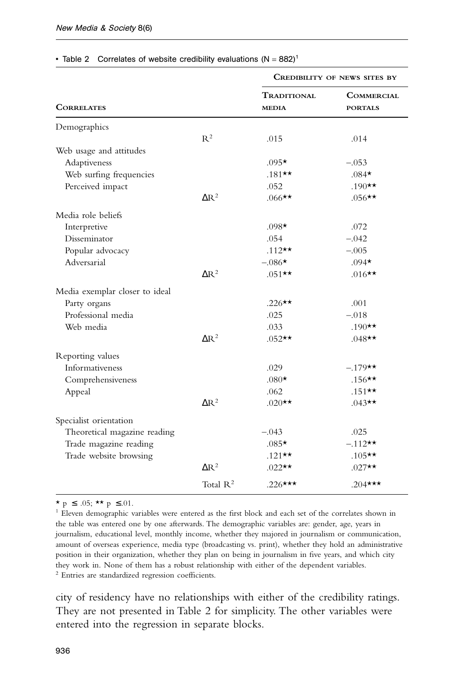| • Table 2 Correlates of website credibility evaluations $(N = 882)^1$ |  |
|-----------------------------------------------------------------------|--|
|                                                                       |  |

|                                |              | <b>CREDIBILITY OF NEWS SITES BY</b> |                                     |  |  |
|--------------------------------|--------------|-------------------------------------|-------------------------------------|--|--|
| <b>CORRELATES</b>              |              | <b>TRADITIONAL</b><br><b>MEDIA</b>  | <b>COMMERCIAL</b><br><b>PORTALS</b> |  |  |
| Demographics                   |              |                                     |                                     |  |  |
|                                | $R^2$        | .015                                | .014                                |  |  |
| Web usage and attitudes        |              |                                     |                                     |  |  |
| Adaptiveness                   |              | $.095*$                             | $-.053$                             |  |  |
| Web surfing frequencies        |              | $.181**$                            | $.084*$                             |  |  |
| Perceived impact               |              | .052                                | $.190**$                            |  |  |
|                                | $\Delta R^2$ | $.066$ **                           | $.056$ **                           |  |  |
| Media role beliefs             |              |                                     |                                     |  |  |
| Interpretive                   |              | $.098*$                             | .072                                |  |  |
| Disseminator                   |              | .054                                | $-.042$                             |  |  |
| Popular advocacy               |              | $.112**$                            | $-.005$                             |  |  |
| Adversarial                    |              | $-.086*$                            | $.094*$                             |  |  |
|                                | $\Delta R^2$ | $.051**$                            | $.016***$                           |  |  |
| Media exemplar closer to ideal |              |                                     |                                     |  |  |
| Party organs                   |              | $.226$ **                           | .001                                |  |  |
| Professional media             |              | .025                                | $-.018$                             |  |  |
| Web media                      |              | .033                                | $.190**$                            |  |  |
|                                | $\Delta R^2$ | $.052**$                            | $.048**$                            |  |  |
| Reporting values               |              |                                     |                                     |  |  |
| Informativeness                |              | .029                                | $-.179**$                           |  |  |
| Comprehensiveness              |              | $.080*$                             | $.156***$                           |  |  |
| Appeal                         |              | .062                                | $.151**$                            |  |  |
|                                | $\Delta R^2$ | $.020**$                            | $.043**$                            |  |  |
| Specialist orientation         |              |                                     |                                     |  |  |
| Theoretical magazine reading   |              | $-.043$                             | .025                                |  |  |
| Trade magazine reading         |              | $.085*$                             | $-.112**$                           |  |  |
| Trade website browsing         |              | $.121**$                            | $.105**$                            |  |  |
|                                | $\Delta R^2$ | $.022**$                            | $.027**$                            |  |  |
|                                | Total $R^2$  | .226***                             | $.204$ ***                          |  |  |

 $\star$  p  $\leq$  .05;  $\star\star$  p  $\leq$ .01.

<sup>1</sup> Eleven demographic variables were entered as the first block and each set of the correlates shown in the table was entered one by one afterwards. The demographic variables are: gender, age, years in journalism, educational level, monthly income, whether they majored in journalism or communication, amount of overseas experience, media type (broadcasting vs. print), whether they hold an administrative position in their organization, whether they plan on being in journalism in five years, and which city they work in. None of them has a robust relationship with either of the dependent variables. <sup>2</sup> Entries are standardized regression coefficients.

city of residency have no relationships with either of the credibility ratings. They are not presented in Table 2 for simplicity. The other variables were entered into the regression in separate blocks.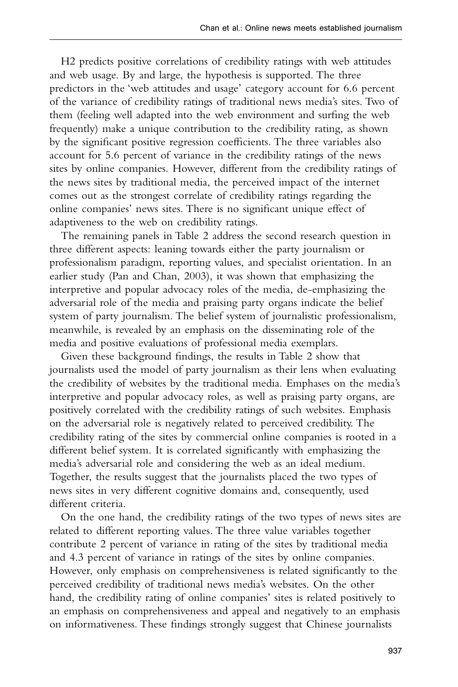H2 predicts positive correlations of credibility ratings with web attitudes and web usage. By and large, the hypothesis is supported. The three predictors in the 'web attitudes and usage' category account for 6.6 percent of the variance of credibility ratings of traditional news media's sites. Two of them (feeling well adapted into the web environment and surfing the web frequently) make a unique contribution to the credibility rating, as shown by the significant positive regression coefficients. The three variables also account for 5.6 percent of variance in the credibility ratings of the news sites by online companies. However, different from the credibility ratings of the news sites by traditional media, the perceived impact of the internet comes out as the strongest correlate of credibility ratings regarding the online companies' news sites. There is no significant unique effect of adaptiveness to the web on credibility ratings.

The remaining panels in Table 2 address the second research question in three different aspects: leaning towards either the party journalism or professionalism paradigm, reporting values, and specialist orientation. In an earlier study (Pan and Chan, 2003), it was shown that emphasizing the interpretive and popular advocacy roles of the media, de-emphasizing the adversarial role of the media and praising party organs indicate the belief system of party journalism. The belief system of journalistic professionalism, meanwhile, is revealed by an emphasis on the disseminating role of the media and positive evaluations of professional media exemplars.

Given these background findings, the results in Table 2 show that journalists used the model of party journalism as their lens when evaluating the credibility of websites by the traditional media. Emphases on the media's interpretive and popular advocacy roles, as well as praising party organs, are positively correlated with the credibility ratings of such websites. Emphasis on the adversarial role is negatively related to perceived credibility. The credibility rating of the sites by commercial online companies is rooted in a different belief system. It is correlated significantly with emphasizing the media's adversarial role and considering the web as an ideal medium. Together, the results suggest that the journalists placed the two types of news sites in very different cognitive domains and, consequently, used different criteria.

On the one hand, the credibility ratings of the two types of news sites are related to different reporting values. The three value variables together contribute 2 percent of variance in rating of the sites by traditional media and 4.3 percent of variance in ratings of the sites by online companies. However, only emphasis on comprehensiveness is related significantly to the perceived credibility of traditional news media's websites. On the other hand, the credibility rating of online companies' sites is related positively to an emphasis on comprehensiveness and appeal and negatively to an emphasis on informativeness. These findings strongly suggest that Chinese journalists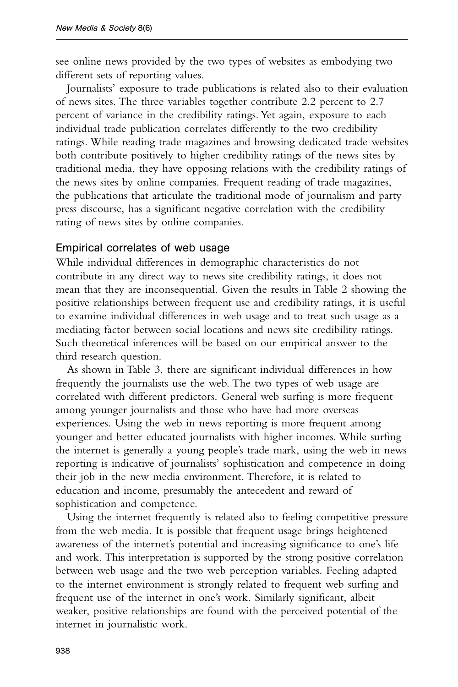see online news provided by the two types of websites as embodying two different sets of reporting values.

Journalists' exposure to trade publications is related also to their evaluation of news sites. The three variables together contribute 2.2 percent to 2.7 percent of variance in the credibility ratings. Yet again, exposure to each individual trade publication correlates differently to the two credibility ratings. While reading trade magazines and browsing dedicated trade websites both contribute positively to higher credibility ratings of the news sites by traditional media, they have opposing relations with the credibility ratings of the news sites by online companies. Frequent reading of trade magazines, the publications that articulate the traditional mode of journalism and party press discourse, has a significant negative correlation with the credibility rating of news sites by online companies.

## Empirical correlates of web usage

While individual differences in demographic characteristics do not contribute in any direct way to news site credibility ratings, it does not mean that they are inconsequential. Given the results in Table 2 showing the positive relationships between frequent use and credibility ratings, it is useful to examine individual differences in web usage and to treat such usage as a mediating factor between social locations and news site credibility ratings. Such theoretical inferences will be based on our empirical answer to the third research question.

As shown in Table 3, there are significant individual differences in how frequently the journalists use the web. The two types of web usage are correlated with different predictors. General web surfing is more frequent among younger journalists and those who have had more overseas experiences. Using the web in news reporting is more frequent among younger and better educated journalists with higher incomes. While surfing the internet is generally a young people's trade mark, using the web in news reporting is indicative of journalists' sophistication and competence in doing their job in the new media environment. Therefore, it is related to education and income, presumably the antecedent and reward of sophistication and competence.

Using the internet frequently is related also to feeling competitive pressure from the web media. It is possible that frequent usage brings heightened awareness of the internet's potential and increasing significance to one's life and work. This interpretation is supported by the strong positive correlation between web usage and the two web perception variables. Feeling adapted to the internet environment is strongly related to frequent web surfing and frequent use of the internet in one's work. Similarly significant, albeit weaker, positive relationships are found with the perceived potential of the internet in journalistic work.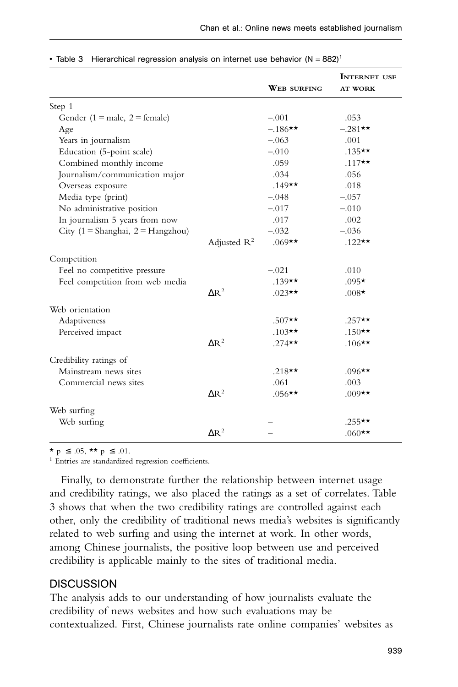|                                     |                | <b>WEB SURFING</b> | <b>INTERNET USE</b><br><b>AT WORK</b> |  |  |
|-------------------------------------|----------------|--------------------|---------------------------------------|--|--|
|                                     |                |                    |                                       |  |  |
| Step 1                              |                |                    |                                       |  |  |
| Gender $(1 = male, 2 = female)$     |                | $-.001$            | .053                                  |  |  |
| Age                                 |                | $-186**$           | $-.281**$                             |  |  |
| Years in journalism                 |                | $-.063$            | .001                                  |  |  |
| Education (5-point scale)           |                | $-.010$            | $.135**$                              |  |  |
| Combined monthly income             |                | .059               | $.117**$                              |  |  |
| Journalism/communication major      |                | .034               | .056                                  |  |  |
| Overseas exposure                   |                | $.149**$           | .018                                  |  |  |
| Media type (print)                  |                | $-.048$            | $-.057$                               |  |  |
| No administrative position          |                | $-.017$            | $-.010$                               |  |  |
| In journalism 5 years from now      |                | .017               | .002                                  |  |  |
| City (1 = Shanghai, $2$ = Hangzhou) |                | $-.032$            | $-.036$                               |  |  |
|                                     | Adjusted $R^2$ | $.069$ **          | $.122**$                              |  |  |
| Competition                         |                |                    |                                       |  |  |
| Feel no competitive pressure        |                | $-.021$            | .010                                  |  |  |
| Feel competition from web media     |                | $.139**$           | $.095*$                               |  |  |
|                                     | $\Delta R^2$   | $.023**$           | $.008*$                               |  |  |
| Web orientation                     |                |                    |                                       |  |  |
| Adaptiveness                        |                | $.507**$           | $.257**$                              |  |  |
| Perceived impact                    |                | $.103**$           | $.150**$                              |  |  |
|                                     | $\Delta R^2$   | $.274**$           | $.106$ **                             |  |  |
| Credibility ratings of              |                |                    |                                       |  |  |
| Mainstream news sites               |                | $.218**$           | $.096$ **                             |  |  |
| Commercial news sites               |                | .061               | .003                                  |  |  |
|                                     | $\Delta R^2$   | $.056***$          | $.009$ **                             |  |  |
| Web surfing                         |                |                    |                                       |  |  |
| Web surfing                         |                |                    | $.255**$                              |  |  |
|                                     | $\Delta R^2$   |                    | $.060**$                              |  |  |

|  | • Table 3 Hierarchical regression analysis on internet use behavior ( $N = 882$ ) <sup>1</sup> |  |  |  |  |  |  |  |  |  |  |
|--|------------------------------------------------------------------------------------------------|--|--|--|--|--|--|--|--|--|--|
|--|------------------------------------------------------------------------------------------------|--|--|--|--|--|--|--|--|--|--|

**★ p** ≤ .05, ★★ p ≤ .01.

<sup>1</sup> Entries are standardized regression coefficients.

Finally, to demonstrate further the relationship between internet usage and credibility ratings, we also placed the ratings as a set of correlates. Table 3 shows that when the two credibility ratings are controlled against each other, only the credibility of traditional news media's websites is significantly related to web surfing and using the internet at work. In other words, among Chinese journalists, the positive loop between use and perceived credibility is applicable mainly to the sites of traditional media.

### **DISCUSSION**

The analysis adds to our understanding of how journalists evaluate the credibility of news websites and how such evaluations may be contextualized. First, Chinese journalists rate online companies' websites as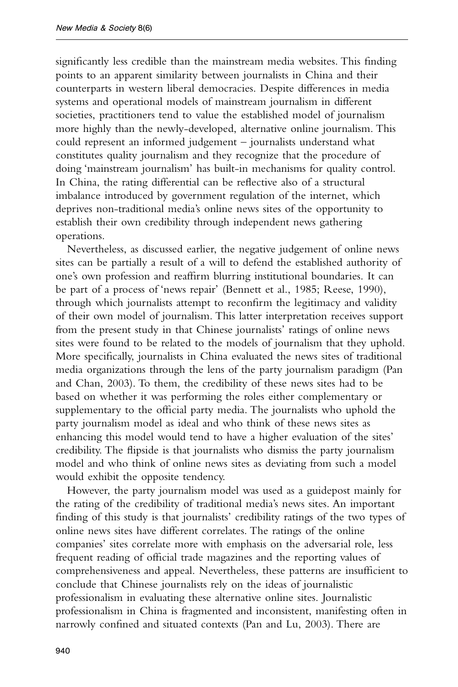significantly less credible than the mainstream media websites. This finding points to an apparent similarity between journalists in China and their counterparts in western liberal democracies. Despite differences in media systems and operational models of mainstream journalism in different societies, practitioners tend to value the established model of journalism more highly than the newly-developed, alternative online journalism. This could represent an informed judgement – journalists understand what constitutes quality journalism and they recognize that the procedure of doing 'mainstream journalism' has built-in mechanisms for quality control. In China, the rating differential can be reflective also of a structural imbalance introduced by government regulation of the internet, which deprives non-traditional media's online news sites of the opportunity to establish their own credibility through independent news gathering operations.

Nevertheless, as discussed earlier, the negative judgement of online news sites can be partially a result of a will to defend the established authority of one's own profession and reaffirm blurring institutional boundaries. It can be part of a process of 'news repair' (Bennett et al., 1985; Reese, 1990), through which journalists attempt to reconfirm the legitimacy and validity of their own model of journalism. This latter interpretation receives support from the present study in that Chinese journalists' ratings of online news sites were found to be related to the models of journalism that they uphold. More specifically, journalists in China evaluated the news sites of traditional media organizations through the lens of the party journalism paradigm (Pan and Chan, 2003). To them, the credibility of these news sites had to be based on whether it was performing the roles either complementary or supplementary to the official party media. The journalists who uphold the party journalism model as ideal and who think of these news sites as enhancing this model would tend to have a higher evaluation of the sites' credibility. The flipside is that journalists who dismiss the party journalism model and who think of online news sites as deviating from such a model would exhibit the opposite tendency.

However, the party journalism model was used as a guidepost mainly for the rating of the credibility of traditional media's news sites. An important finding of this study is that journalists' credibility ratings of the two types of online news sites have different correlates. The ratings of the online companies' sites correlate more with emphasis on the adversarial role, less frequent reading of official trade magazines and the reporting values of comprehensiveness and appeal. Nevertheless, these patterns are insufficient to conclude that Chinese journalists rely on the ideas of journalistic professionalism in evaluating these alternative online sites. Journalistic professionalism in China is fragmented and inconsistent, manifesting often in narrowly confined and situated contexts (Pan and Lu, 2003). There are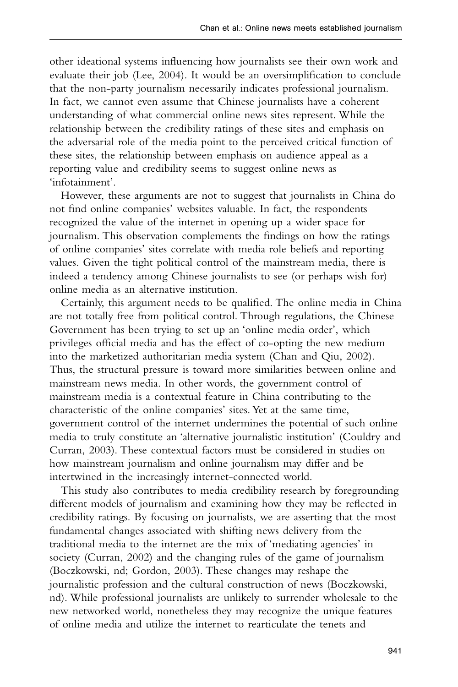other ideational systems influencing how journalists see their own work and evaluate their job (Lee, 2004). It would be an oversimplification to conclude that the non-party journalism necessarily indicates professional journalism. In fact, we cannot even assume that Chinese journalists have a coherent understanding of what commercial online news sites represent. While the relationship between the credibility ratings of these sites and emphasis on the adversarial role of the media point to the perceived critical function of these sites, the relationship between emphasis on audience appeal as a reporting value and credibility seems to suggest online news as 'infotainment'.

However, these arguments are not to suggest that journalists in China do not find online companies' websites valuable. In fact, the respondents recognized the value of the internet in opening up a wider space for journalism. This observation complements the findings on how the ratings of online companies' sites correlate with media role beliefs and reporting values. Given the tight political control of the mainstream media, there is indeed a tendency among Chinese journalists to see (or perhaps wish for) online media as an alternative institution.

Certainly, this argument needs to be qualified. The online media in China are not totally free from political control. Through regulations, the Chinese Government has been trying to set up an 'online media order', which privileges official media and has the effect of co-opting the new medium into the marketized authoritarian media system (Chan and Qiu, 2002). Thus, the structural pressure is toward more similarities between online and mainstream news media. In other words, the government control of mainstream media is a contextual feature in China contributing to the characteristic of the online companies' sites. Yet at the same time, government control of the internet undermines the potential of such online media to truly constitute an 'alternative journalistic institution' (Couldry and Curran, 2003). These contextual factors must be considered in studies on how mainstream journalism and online journalism may differ and be intertwined in the increasingly internet-connected world.

This study also contributes to media credibility research by foregrounding different models of journalism and examining how they may be reflected in credibility ratings. By focusing on journalists, we are asserting that the most fundamental changes associated with shifting news delivery from the traditional media to the internet are the mix of 'mediating agencies' in society (Curran, 2002) and the changing rules of the game of journalism (Boczkowski, nd; Gordon, 2003). These changes may reshape the journalistic profession and the cultural construction of news (Boczkowski, nd). While professional journalists are unlikely to surrender wholesale to the new networked world, nonetheless they may recognize the unique features of online media and utilize the internet to rearticulate the tenets and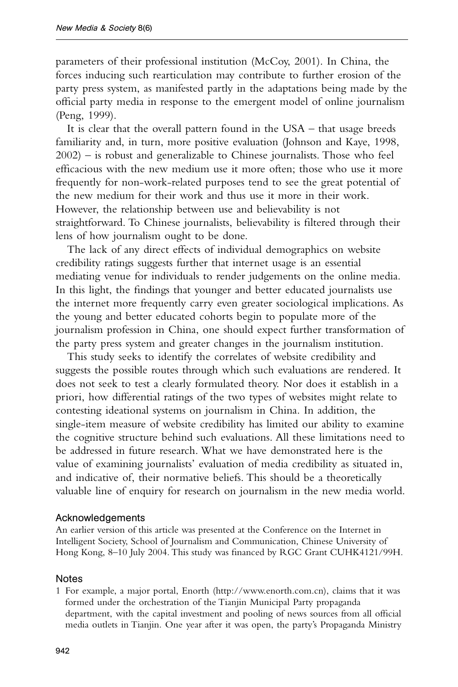parameters of their professional institution (McCoy, 2001). In China, the forces inducing such rearticulation may contribute to further erosion of the party press system, as manifested partly in the adaptations being made by the official party media in response to the emergent model of online journalism (Peng, 1999).

It is clear that the overall pattern found in the USA – that usage breeds familiarity and, in turn, more positive evaluation (Johnson and Kaye, 1998, 2002) – is robust and generalizable to Chinese journalists. Those who feel efficacious with the new medium use it more often; those who use it more frequently for non-work-related purposes tend to see the great potential of the new medium for their work and thus use it more in their work. However, the relationship between use and believability is not straightforward. To Chinese journalists, believability is filtered through their lens of how journalism ought to be done.

The lack of any direct effects of individual demographics on website credibility ratings suggests further that internet usage is an essential mediating venue for individuals to render judgements on the online media. In this light, the findings that younger and better educated journalists use the internet more frequently carry even greater sociological implications. As the young and better educated cohorts begin to populate more of the journalism profession in China, one should expect further transformation of the party press system and greater changes in the journalism institution.

This study seeks to identify the correlates of website credibility and suggests the possible routes through which such evaluations are rendered. It does not seek to test a clearly formulated theory. Nor does it establish in a priori, how differential ratings of the two types of websites might relate to contesting ideational systems on journalism in China. In addition, the single-item measure of website credibility has limited our ability to examine the cognitive structure behind such evaluations. All these limitations need to be addressed in future research. What we have demonstrated here is the value of examining journalists' evaluation of media credibility as situated in, and indicative of, their normative beliefs. This should be a theoretically valuable line of enquiry for research on journalism in the new media world.

#### Acknowledgements

An earlier version of this article was presented at the Conference on the Internet in Intelligent Society, School of Journalism and Communication, Chinese University of Hong Kong, 8–10 July 2004. This study was financed by RGC Grant CUHK4121/99H.

#### **Notes**

1 For example, a major portal, Enorth (http://www.enorth.com.cn), claims that it was formed under the orchestration of the Tianjin Municipal Party propaganda department, with the capital investment and pooling of news sources from all official media outlets in Tianjin. One year after it was open, the party's Propaganda Ministry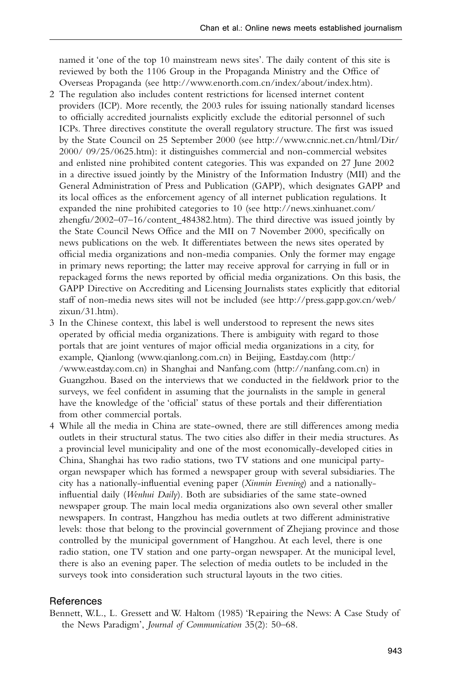named it 'one of the top 10 mainstream news sites'. The daily content of this site is reviewed by both the 1106 Group in the Propaganda Ministry and the Office of Overseas Propaganda (see http://www.enorth.com.cn/index/about/index.htm).

- 2 The regulation also includes content restrictions for licensed internet content providers (ICP). More recently, the 2003 rules for issuing nationally standard licenses to officially accredited journalists explicitly exclude the editorial personnel of such ICPs. Three directives constitute the overall regulatory structure. The first was issued by the State Council on 25 September 2000 (see http://www.cnnic.net.cn/html/Dir/ 2000/ 09/25/0625.htm): it distinguishes commercial and non-commercial websites and enlisted nine prohibited content categories. This was expanded on 27 June 2002 in a directive issued jointly by the Ministry of the Information Industry (MII) and the General Administration of Press and Publication (GAPP), which designates GAPP and its local offices as the enforcement agency of all internet publication regulations. It expanded the nine prohibited categories to 10 (see http://news.xinhuanet.com/ zhengfu/2002–07–16/content\_484382.htm). The third directive was issued jointly by the State Council News Office and the MII on 7 November 2000, specifically on news publications on the web. It differentiates between the news sites operated by official media organizations and non-media companies. Only the former may engage in primary news reporting; the latter may receive approval for carrying in full or in repackaged forms the news reported by official media organizations. On this basis, the GAPP Directive on Accrediting and Licensing Journalists states explicitly that editorial staff of non-media news sites will not be included (see http://press.gapp.gov.cn/web/ zixun/31.htm).
- 3 In the Chinese context, this label is well understood to represent the news sites operated by official media organizations. There is ambiguity with regard to those portals that are joint ventures of major official media organizations in a city, for example, Qianlong (www.qianlong.com.cn) in Beijing, Eastday.com (http:/ /www.eastday.com.cn) in Shanghai and Nanfang.com (http://nanfang.com.cn) in Guangzhou. Based on the interviews that we conducted in the fieldwork prior to the surveys, we feel confident in assuming that the journalists in the sample in general have the knowledge of the 'official' status of these portals and their differentiation from other commercial portals.
- 4 While all the media in China are state-owned, there are still differences among media outlets in their structural status. The two cities also differ in their media structures. As a provincial level municipality and one of the most economically-developed cities in China, Shanghai has two radio stations, two TV stations and one municipal partyorgan newspaper which has formed a newspaper group with several subsidiaries. The city has a nationally-influential evening paper (*Xinmin Evening*) and a nationallyinfluential daily (*Wenhui Daily*). Both are subsidiaries of the same state-owned newspaper group. The main local media organizations also own several other smaller newspapers. In contrast, Hangzhou has media outlets at two different administrative levels: those that belong to the provincial government of Zhejiang province and those controlled by the municipal government of Hangzhou. At each level, there is one radio station, one TV station and one party-organ newspaper. At the municipal level, there is also an evening paper. The selection of media outlets to be included in the surveys took into consideration such structural layouts in the two cities.

#### References

Bennett, W.L., L. Gressett and W. Haltom (1985) 'Repairing the News: A Case Study of the News Paradigm', *Journal of Communication* 35(2): 50–68.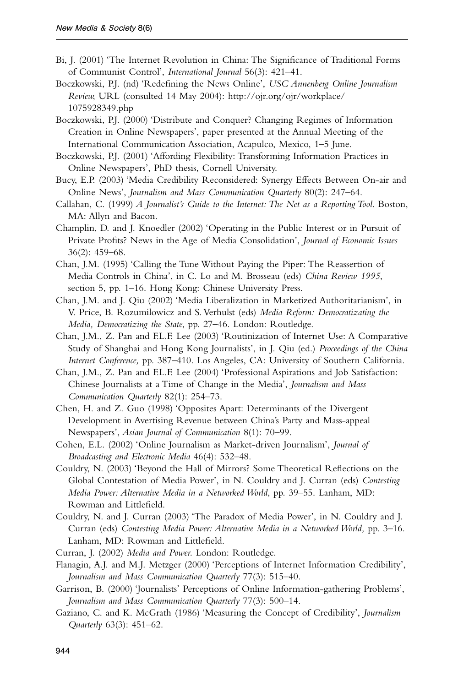- Bi, J. (2001) 'The Internet Revolution in China: The Significance of Traditional Forms of Communist Control', *International Journal* 56(3): 421–41.
- Boczkowski, P.J. (nd) 'Redefining the News Online', *USC Annenberg Online Journalism Review*, URL (consulted 14 May 2004): http://ojr.org/ojr/workplace/ 1075928349.php
- Boczkowski, P.J. (2000) 'Distribute and Conquer? Changing Regimes of Information Creation in Online Newspapers', paper presented at the Annual Meeting of the International Communication Association, Acapulco, Mexico, 1–5 June.
- Boczkowski, P.J. (2001) 'Affording Flexibility: Transforming Information Practices in Online Newspapers', PhD thesis, Cornell University.
- Bucy, E.P. (2003) 'Media Credibility Reconsidered: Synergy Effects Between On-air and Online News', *Journalism and Mass Communication Quarterly* 80(2): 247–64.
- Callahan, C. (1999) *A Journalist's Guide to the Internet: The Net as a Reporting Tool*. Boston, MA: Allyn and Bacon.
- Champlin, D. and J. Knoedler (2002) 'Operating in the Public Interest or in Pursuit of Private Profits? News in the Age of Media Consolidation', *Journal of Economic Issues* 36(2): 459–68.
- Chan, J.M. (1995) 'Calling the Tune Without Paying the Piper: The Reassertion of Media Controls in China', in C. Lo and M. Brosseau (eds) *China Review 1995*, section 5, pp. 1–16. Hong Kong: Chinese University Press.
- Chan, J.M. and J. Qiu (2002) 'Media Liberalization in Marketized Authoritarianism', in V. Price, B. Rozumilowicz and S. Verhulst (eds) *Media Reform: Democratizating the Media, Democratizing the State*, pp. 27–46. London: Routledge.
- Chan, J.M., Z. Pan and F.L.F. Lee (2003) 'Routinization of Internet Use: A Comparative Study of Shanghai and Hong Kong Journalists', in J. Qiu (ed.) *Proceedings of the China Internet Conference,* pp. 387–410. Los Angeles, CA: University of Southern California.
- Chan, J.M., Z. Pan and F.L.F. Lee (2004) 'Professional Aspirations and Job Satisfaction: Chinese Journalists at a Time of Change in the Media', *Journalism and Mass Communication Quarterly* 82(1): 254–73.
- Chen, H. and Z. Guo (1998) 'Opposites Apart: Determinants of the Divergent Development in Avertising Revenue between China's Party and Mass-appeal Newspapers', *Asian Journal of Communication* 8(1): 70–99.
- Cohen, E.L. (2002) 'Online Journalism as Market-driven Journalism', *Journal of Broadcasting and Electronic Media* 46(4): 532–48.
- Couldry, N. (2003) 'Beyond the Hall of Mirrors? Some Theoretical Reflections on the Global Contestation of Media Power', in N. Couldry and J. Curran (eds) *Contesting Media Power: Alternative Media in a Networked World*, pp. 39–55. Lanham, MD: Rowman and Littlefield.
- Couldry, N. and J. Curran (2003) 'The Paradox of Media Power', in N. Couldry and J. Curran (eds) *Contesting Media Power: Alternative Media in a Networked World,* pp. 3–16. Lanham, MD: Rowman and Littlefield.
- Curran, J. (2002) *Media and Power*. London: Routledge.
- Flanagin, A.J. and M.J. Metzger (2000) 'Perceptions of Internet Information Credibility', *Journalism and Mass Communication Quarterly* 77(3): 515–40.
- Garrison, B. (2000) 'Journalists' Perceptions of Online Information-gathering Problems', *Journalism and Mass Communication Quarterly* 77(3): 500–14.
- Gaziano, C. and K. McGrath (1986) 'Measuring the Concept of Credibility', *Journalism Quarterly* 63(3): 451–62.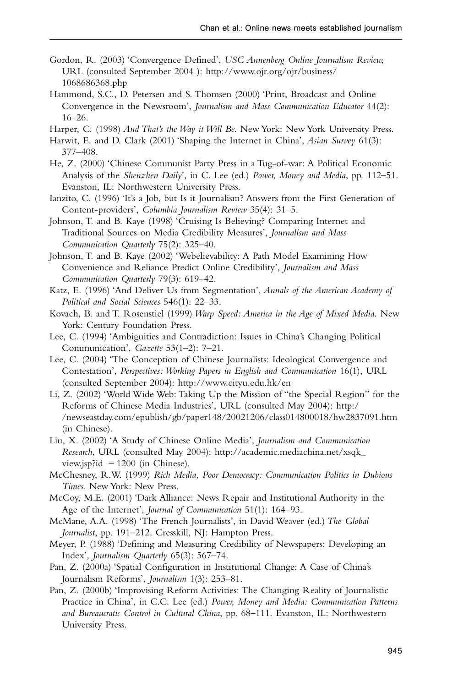- Gordon, R. (2003) 'Convergence Defined', *USC Annenberg Online Journalism Review*, URL (consulted September 2004 ): http://www.ojr.org/ojr/business/ 1068686368.php
- Hammond, S.C., D. Petersen and S. Thomsen (2000) 'Print, Broadcast and Online Convergence in the Newsroom', *Journalism and Mass Communication Educator* 44(2): 16–26.

Harper, C. (1998) *And That's the Way it Will Be*. New York: New York University Press.

- Harwit, E. and D. Clark (2001) 'Shaping the Internet in China', *Asian Survey* 61(3): 377–408.
- He, Z. (2000) 'Chinese Communist Party Press in a Tug-of-war: A Political Economic Analysis of the *Shenzhen Daily*', in C. Lee (ed.) *Power, Money and Media*, pp. 112–51. Evanston, IL: Northwestern University Press.
- Ianzito, C. (1996) 'It's a Job, but Is it Journalism? Answers from the First Generation of Content-providers', *Columbia Journalism Review* 35(4): 31–5.
- Johnson, T. and B. Kaye (1998) 'Cruising Is Believing? Comparing Internet and Traditional Sources on Media Credibility Measures', *Journalism and Mass Communication Quarterly* 75(2): 325–40.
- Johnson, T. and B. Kaye (2002) 'Webelievability: A Path Model Examining How Convenience and Reliance Predict Online Credibility', *Journalism and Mass Communication Quarterly* 79(3): 619–42.
- Katz, E. (1996) 'And Deliver Us from Segmentation', *Annals of the American Academy of Political and Social Sciences* 546(1): 22–33.
- Kovach, B. and T. Rosenstiel (1999) *Warp Speed: America in the Age of Mixed Media*. New York: Century Foundation Press.
- Lee, C. (1994) 'Ambiguities and Contradiction: Issues in China's Changing Political Communication', *Gazette* 53(1–2): 7–21.
- Lee, C. (2004) 'The Conception of Chinese Journalists: Ideological Convergence and Contestation', *Perspectives: Working Papers in English and Communication* 16(1), URL (consulted September 2004): http://www.cityu.edu.hk/en
- Li, Z. (2002) 'World Wide Web: Taking Up the Mission of "the Special Region" for the Reforms of Chinese Media Industries', URL (consulted May 2004): http:/ /newseastday.com/epublish/gb/paper148/20021206/class014800018/hw2837091.htm (in Chinese).
- Liu, X. (2002) 'A Study of Chinese Online Media', *Journalism and Communication Research*, URL (consulted May 2004): http://academic.mediachina.net/xsqk\_ view.jsp?id = 1200 (in Chinese).
- McChesney, R.W. (1999) *Rich Media, Poor Democracy: Communication Politics in Dubious Times.* New York: New Press.
- McCoy, M.E. (2001) 'Dark Alliance: News Repair and Institutional Authority in the Age of the Internet', *Journal of Communication* 51(1): 164–93.
- McMane, A.A. (1998) 'The French Journalists', in David Weaver (ed.) *The Global Journalist*, pp. 191–212. Cresskill, NJ: Hampton Press.
- Meyer, P. (1988) 'Defining and Measuring Credibility of Newspapers: Developing an Index', *Journalism Quarterly* 65(3): 567–74.
- Pan, Z. (2000a) 'Spatial Configuration in Institutional Change: A Case of China's Journalism Reforms', *Journalism* 1(3): 253–81.
- Pan, Z. (2000b) 'Improvising Reform Activities: The Changing Reality of Journalistic Practice in China', in C.C. Lee (ed.) *Power, Money and Media: Communication Patterns and Bureaucratic Control in Cultural China*, pp. 68–111. Evanston, IL: Northwestern University Press.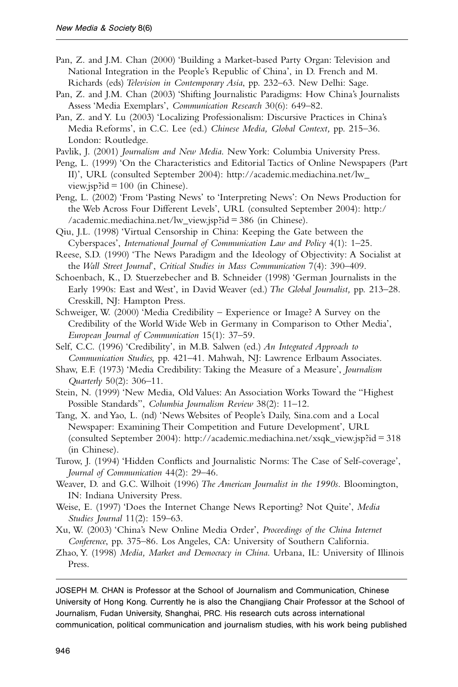- Pan, Z. and J.M. Chan (2000) 'Building a Market-based Party Organ: Television and National Integration in the People's Republic of China', in D. French and M. Richards (eds) *Television in Contemporary Asia*, pp. 232–63. New Delhi: Sage.
- Pan, Z. and J.M. Chan (2003) 'Shifting Journalistic Paradigms: How China's Journalists Assess 'Media Exemplars', *Communication Research* 30(6): 649–82.
- Pan, Z. and Y. Lu (2003) 'Localizing Professionalism: Discursive Practices in China's Media Reforms', in C.C. Lee (ed.) *Chinese Media, Global Context,* pp. 215–36. London: Routledge.
- Pavlik, J. (2001) *Journalism and New Media*. New York: Columbia University Press.
- Peng, L. (1999) 'On the Characteristics and Editorial Tactics of Online Newspapers (Part II)', URL (consulted September 2004): http://academic.mediachina.net/lw\_ view.jsp?id = 100 (in Chinese).
- Peng, L. (2002) 'From 'Pasting News' to 'Interpreting News': On News Production for the Web Across Four Different Levels', URL (consulted September 2004): http:/ /academic.mediachina.net/lw\_view.jsp?id = 386 (in Chinese).
- Qiu, J.L. (1998) 'Virtual Censorship in China: Keeping the Gate between the Cyberspaces', *International Journal of Communication Law and Policy* 4(1): 1–25.
- Reese, S.D. (1990) 'The News Paradigm and the Ideology of Objectivity: A Socialist at the *Wall Street Journal*', *Critical Studies in Mass Communication* 7(4): 390–409.
- Schoenbach, K., D. Stuerzebecher and B. Schneider (1998) 'German Journalists in the Early 1990s: East and West', in David Weaver (ed.) *The Global Journalist,* pp. 213–28. Cresskill, NJ: Hampton Press.
- Schweiger, W. (2000) 'Media Credibility Experience or Image? A Survey on the Credibility of the World Wide Web in Germany in Comparison to Other Media', *European Journal of Communication* 15(1): 37–59.
- Self, C.C. (1996) 'Credibility', in M.B. Salwen (ed.) *An Integrated Approach to Communication Studies,* pp. 421–41. Mahwah, NJ: Lawrence Erlbaum Associates.
- Shaw, E.F. (1973) 'Media Credibility: Taking the Measure of a Measure', *Journalism Quarterly* 50(2): 306–11.
- Stein, N. (1999) 'New Media, Old Values: An Association Works Toward the "Highest Possible Standards'', *Columbia Journalism Review* 38(2): 11–12.
- Tang, X. and Yao, L. (nd) 'News Websites of People's Daily, Sina.com and a Local Newspaper: Examining Their Competition and Future Development', URL (consulted September 2004): http://academic.mediachina.net/xsqk\_view.jsp?id = 318 (in Chinese).
- Turow, J. (1994) 'Hidden Conflicts and Journalistic Norms: The Case of Self-coverage', *Journal of Communication* 44(2): 29–46.
- Weaver, D. and G.C. Wilhoit (1996) *The American Journalist in the 1990s*. Bloomington, IN: Indiana University Press.
- Weise, E. (1997) 'Does the Internet Change News Reporting? Not Quite', *Media Studies Journal* 11(2): 159–63.
- Xu, W. (2003) 'China's New Online Media Order', *Proceedings of the China Internet Conference*, pp. 375–86. Los Angeles, CA: University of Southern California.
- Zhao, Y. (1998) *Media, Market and Democracy in China*. Urbana, IL: University of Illinois Press.

JOSEPH M. CHAN is Professor at the School of Journalism and Communication, Chinese University of Hong Kong. Currently he is also the Changjiang Chair Professor at the School of Journalism, Fudan University, Shanghai, PRC. His research cuts across international communication, political communication and journalism studies, with his work being published